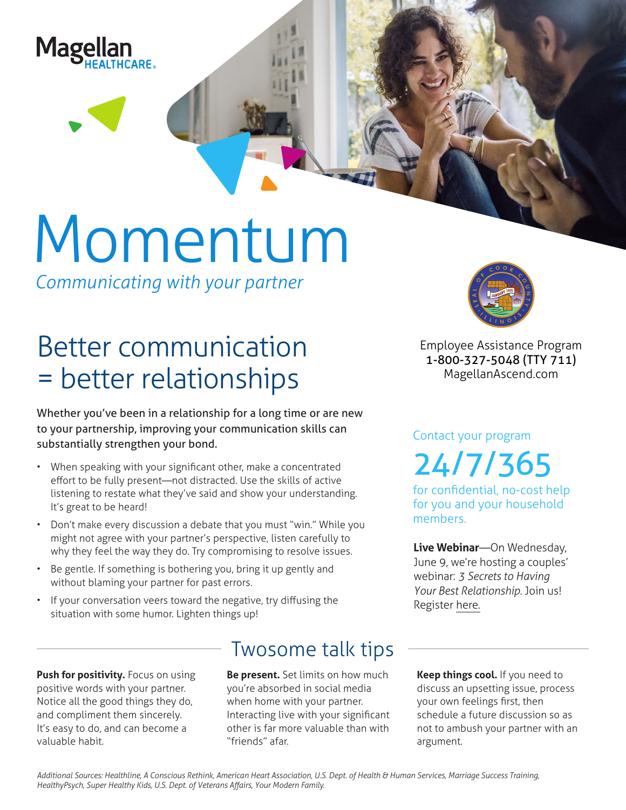

# Momentum

*Communicating with your partner*

## Better communication = better relationships

Whether you've been in a relationship for a long time or are new to your partnership, improving your communication skills can substantially strengthen your bond.

- When speaking with your significant other, make a concentrated effort to be fully present—not distracted. Use the skills of active listening to restate what they've said and show your understanding. It's great to be heard!
- Don't make every discussion a debate that you must "win." While you might not agree with your partner's perspective, listen carefully to why they feel the way they do. Try compromising to resolve issues.
- Be gentle. If something is bothering you, bring it up gently and without blaming your partner for past errors.
- If your conversation veers toward the negative, try diffusing the situation with some humor. Lighten things up!

**Push for positivity.** Focus on using positive words with your partner. Notice all the good things they do, and compliment them sincerely. It's easy to do, and can become a valuable habit.

### Twosome talk tips

**Be present.** Set limits on how much you're absorbed in social media when home with your partner. Interacting live with your significant other is far more valuable than with "friends" afar.



**Employee Assistance Program 1-800-327-5048 (TTY 711) MagellanAscend.com**

Contact your program 24/7/365

for confidential, no-cost help for you and your household members.

**Live Webinar**—On Wednesday, June 9, we're hosting a couples' webinar: *3 Secrets to Having Your Best Relationship.* Join us! Register here.

**Keep things cool.** If you need to discuss an upsetting issue, process your own feelings first, then schedule a future discussion so as not to ambush your partner with an argument.